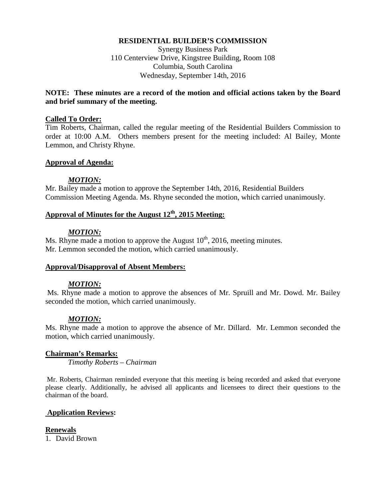### **RESIDENTIAL BUILDER'S COMMISSION**

Synergy Business Park 110 Centerview Drive, Kingstree Building, Room 108 Columbia, South Carolina Wednesday, September 14th, 2016

# **NOTE: These minutes are a record of the motion and official actions taken by the Board and brief summary of the meeting.**

### **Called To Order:**

Tim Roberts, Chairman, called the regular meeting of the Residential Builders Commission to order at 10:00 A.M. Others members present for the meeting included: Al Bailey, Monte Lemmon, and Christy Rhyne.

### **Approval of Agenda:**

### *MOTION:*

Mr. Bailey made a motion to approve the September 14th, 2016, Residential Builders Commission Meeting Agenda. Ms. Rhyne seconded the motion, which carried unanimously.

# **Approval of Minutes for the August 12th, 2015 Meeting:**

# *MOTION:*

Ms. Rhyne made a motion to approve the August  $10^{th}$ , 2016, meeting minutes. Mr. Lemmon seconded the motion, which carried unanimously.

# **Approval/Disapproval of Absent Members:**

# *MOTION:*

Ms. Rhyne made a motion to approve the absences of Mr. Spruill and Mr. Dowd. Mr. Bailey seconded the motion, which carried unanimously.

# *MOTION:*

Ms. Rhyne made a motion to approve the absence of Mr. Dillard. Mr. Lemmon seconded the motion, which carried unanimously.

#### **Chairman's Remarks:**

*Timothy Roberts – Chairman*

Mr. Roberts, Chairman reminded everyone that this meeting is being recorded and asked that everyone please clearly. Additionally, he advised all applicants and licensees to direct their questions to the chairman of the board.

# **Application Reviews:**

#### **Renewals**

1. David Brown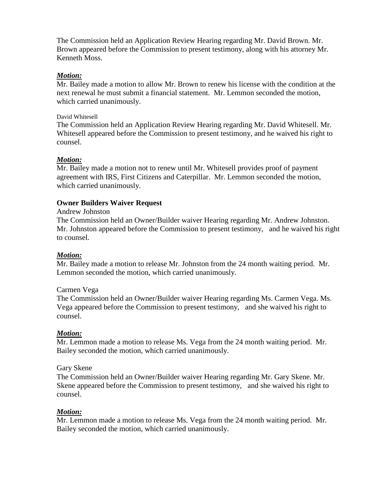The Commission held an Application Review Hearing regarding Mr. David Brown. Mr. Brown appeared before the Commission to present testimony, along with his attorney Mr. Kenneth Moss.

# *Motion:*

Mr. Bailey made a motion to allow Mr. Brown to renew his license with the condition at the next renewal he must submit a financial statement. Mr. Lemmon seconded the motion, which carried unanimously.

#### David Whitesell

The Commission held an Application Review Hearing regarding Mr. David Whitesell. Mr. Whitesell appeared before the Commission to present testimony, and he waived his right to counsel.

# *Motion:*

Mr. Bailey made a motion not to renew until Mr. Whitesell provides proof of payment agreement with IRS, First Citizens and Caterpillar. Mr. Lemmon seconded the motion, which carried unanimously.

# **Owner Builders Waiver Request**

### Andrew Johnston

The Commission held an Owner/Builder waiver Hearing regarding Mr. Andrew Johnston. Mr. Johnston appeared before the Commission to present testimony, and he waived his right to counsel.

# *Motion:*

Mr. Bailey made a motion to release Mr. Johnston from the 24 month waiting period. Mr. Lemmon seconded the motion, which carried unanimously.

# Carmen Vega

The Commission held an Owner/Builder waiver Hearing regarding Ms. Carmen Vega. Ms. Vega appeared before the Commission to present testimony, and she waived his right to counsel.

# *Motion:*

Mr. Lemmon made a motion to release Ms. Vega from the 24 month waiting period. Mr. Bailey seconded the motion, which carried unanimously.

# Gary Skene

The Commission held an Owner/Builder waiver Hearing regarding Mr. Gary Skene. Mr. Skene appeared before the Commission to present testimony, and she waived his right to counsel.

# *Motion:*

Mr. Lemmon made a motion to release Ms. Vega from the 24 month waiting period. Mr. Bailey seconded the motion, which carried unanimously.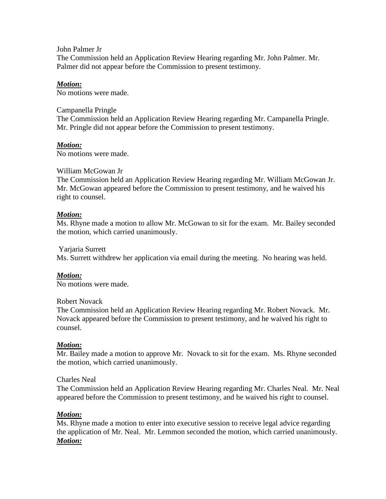John Palmer Jr

The Commission held an Application Review Hearing regarding Mr. John Palmer. Mr. Palmer did not appear before the Commission to present testimony.

# *Motion:*

No motions were made.

### Campanella Pringle

The Commission held an Application Review Hearing regarding Mr. Campanella Pringle. Mr. Pringle did not appear before the Commission to present testimony.

# *Motion:*

No motions were made.

# William McGowan Jr

The Commission held an Application Review Hearing regarding Mr. William McGowan Jr. Mr. McGowan appeared before the Commission to present testimony, and he waived his right to counsel.

# *Motion:*

Ms. Rhyne made a motion to allow Mr. McGowan to sit for the exam. Mr. Bailey seconded the motion, which carried unanimously.

# Yarjaria Surrett

Ms. Surrett withdrew her application via email during the meeting. No hearing was held.

# *Motion:*

No motions were made.

# Robert Novack

The Commission held an Application Review Hearing regarding Mr. Robert Novack. Mr. Novack appeared before the Commission to present testimony, and he waived his right to counsel.

# *Motion:*

Mr. Bailey made a motion to approve Mr. Novack to sit for the exam. Ms. Rhyne seconded the motion, which carried unanimously.

# Charles Neal

The Commission held an Application Review Hearing regarding Mr. Charles Neal. Mr. Neal appeared before the Commission to present testimony, and he waived his right to counsel.

# *Motion:*

Ms. Rhyne made a motion to enter into executive session to receive legal advice regarding the application of Mr. Neal. Mr. Lemmon seconded the motion, which carried unanimously. *Motion:*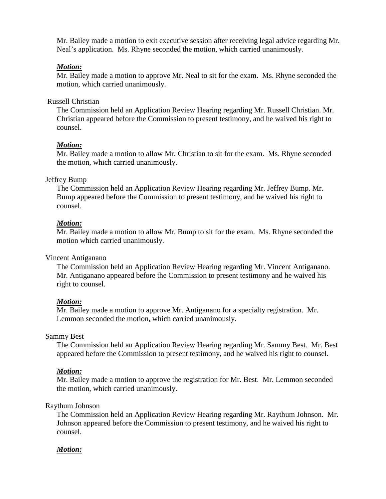Mr. Bailey made a motion to exit executive session after receiving legal advice regarding Mr. Neal's application. Ms. Rhyne seconded the motion, which carried unanimously.

### *Motion:*

Mr. Bailey made a motion to approve Mr. Neal to sit for the exam. Ms. Rhyne seconded the motion, which carried unanimously.

#### Russell Christian

The Commission held an Application Review Hearing regarding Mr. Russell Christian. Mr. Christian appeared before the Commission to present testimony, and he waived his right to counsel.

#### *Motion:*

Mr. Bailey made a motion to allow Mr. Christian to sit for the exam. Ms. Rhyne seconded the motion, which carried unanimously.

#### Jeffrey Bump

The Commission held an Application Review Hearing regarding Mr. Jeffrey Bump. Mr. Bump appeared before the Commission to present testimony, and he waived his right to counsel.

#### *Motion:*

Mr. Bailey made a motion to allow Mr. Bump to sit for the exam. Ms. Rhyne seconded the motion which carried unanimously.

#### Vincent Antiganano

The Commission held an Application Review Hearing regarding Mr. Vincent Antiganano. Mr. Antiganano appeared before the Commission to present testimony and he waived his right to counsel.

#### *Motion:*

Mr. Bailey made a motion to approve Mr. Antiganano for a specialty registration. Mr. Lemmon seconded the motion, which carried unanimously.

### Sammy Best

The Commission held an Application Review Hearing regarding Mr. Sammy Best. Mr. Best appeared before the Commission to present testimony, and he waived his right to counsel.

#### *Motion:*

Mr. Bailey made a motion to approve the registration for Mr. Best. Mr. Lemmon seconded the motion, which carried unanimously.

#### Raythum Johnson

The Commission held an Application Review Hearing regarding Mr. Raythum Johnson. Mr. Johnson appeared before the Commission to present testimony, and he waived his right to counsel.

#### *Motion:*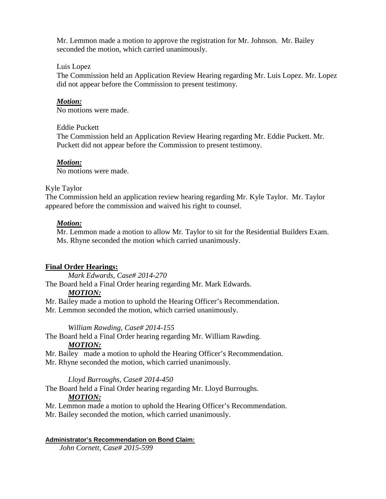Mr. Lemmon made a motion to approve the registration for Mr. Johnson. Mr. Bailey seconded the motion, which carried unanimously.

# Luis Lopez

The Commission held an Application Review Hearing regarding Mr. Luis Lopez. Mr. Lopez did not appear before the Commission to present testimony.

# *Motion:*

No motions were made.

### Eddie Puckett

The Commission held an Application Review Hearing regarding Mr. Eddie Puckett. Mr. Puckett did not appear before the Commission to present testimony.

# *Motion:*

No motions were made.

# Kyle Taylor

The Commission held an application review hearing regarding Mr. Kyle Taylor. Mr. Taylor appeared before the commission and waived his right to counsel.

# *Motion:*

Mr. Lemmon made a motion to allow Mr. Taylor to sit for the Residential Builders Exam. Ms. Rhyne seconded the motion which carried unanimously.

# **Final Order Hearings:**

*Mark Edwards, Case# 2014-270*

The Board held a Final Order hearing regarding Mr. Mark Edwards.

# *MOTION:*

Mr. Bailey made a motion to uphold the Hearing Officer's Recommendation.

Mr. Lemmon seconded the motion, which carried unanimously.

# *William Rawding, Case# 2014-155*

The Board held a Final Order hearing regarding Mr. William Rawding.

# *MOTION:*

Mr. Bailey made a motion to uphold the Hearing Officer's Recommendation.

Mr. Rhyne seconded the motion, which carried unanimously.

# *Lloyd Burroughs, Case# 2014-450*

The Board held a Final Order hearing regarding Mr. Lloyd Burroughs.

# *MOTION:*

Mr. Lemmon made a motion to uphold the Hearing Officer's Recommendation.

Mr. Bailey seconded the motion, which carried unanimously.

# **Administrator's Recommendation on Bond Claim:**

*John Cornett, Case# 2015-599*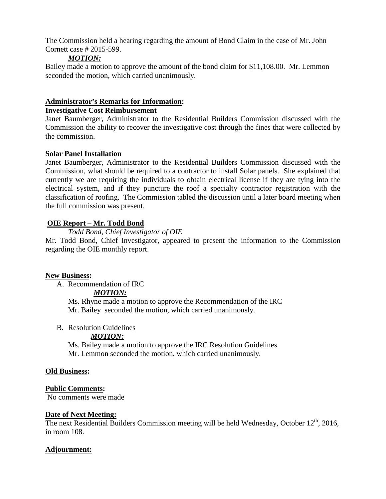The Commission held a hearing regarding the amount of Bond Claim in the case of Mr. John Cornett case # 2015-599.

# *MOTION:*

Bailey made a motion to approve the amount of the bond claim for \$11,108.00. Mr. Lemmon seconded the motion, which carried unanimously.

# **Administrator's Remarks for Information:**

# **Investigative Cost Reimbursement**

Janet Baumberger, Administrator to the Residential Builders Commission discussed with the Commission the ability to recover the investigative cost through the fines that were collected by the commission.

# **Solar Panel Installation**

Janet Baumberger, Administrator to the Residential Builders Commission discussed with the Commission, what should be required to a contractor to install Solar panels. She explained that currently we are requiring the individuals to obtain electrical license if they are tying into the electrical system, and if they puncture the roof a specialty contractor registration with the classification of roofing. The Commission tabled the discussion until a later board meeting when the full commission was present.

# **OIE Report – Mr. Todd Bond**

# *Todd Bond, Chief Investigator of OIE*

Mr. Todd Bond, Chief Investigator, appeared to present the information to the Commission regarding the OIE monthly report.

# **New Business:**

A. Recommendation of IRC

# *MOTION:*

Ms. Rhyne made a motion to approve the Recommendation of the IRC Mr. Bailey seconded the motion, which carried unanimously.

# B. Resolution Guidelines

# *MOTION:*

Ms. Bailey made a motion to approve the IRC Resolution Guidelines. Mr. Lemmon seconded the motion, which carried unanimously.

# **Old Business:**

# **Public Comments:**

No comments were made

# **Date of Next Meeting:**

The next Residential Builders Commission meeting will be held Wednesday, October  $12<sup>th</sup>$ , 2016, in room 108.

# **Adjournment:**